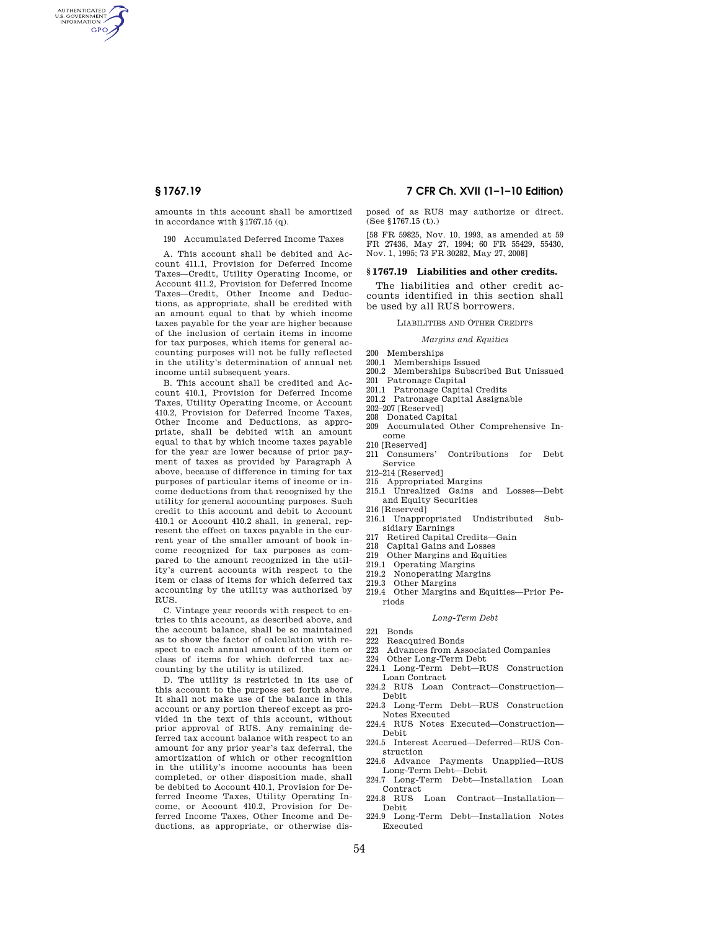AUTHENTICATED<br>U.S. GOVERNMENT<br>INFORMATION **GPO** 

> amounts in this account shall be amortized in accordance with §1767.15 (q).

# 190 Accumulated Deferred Income Taxes

A. This account shall be debited and Account 411.1, Provision for Deferred Income Taxes—Credit, Utility Operating Income, or Account 411.2, Provision for Deferred Income Taxes—Credit, Other Income and Deductions, as appropriate, shall be credited with an amount equal to that by which income taxes payable for the year are higher because of the inclusion of certain items in income for tax purposes, which items for general accounting purposes will not be fully reflected in the utility's determination of annual net income until subsequent years.

B. This account shall be credited and Account 410.1, Provision for Deferred Income Taxes, Utility Operating Income, or Account 410.2, Provision for Deferred Income Taxes, Other Income and Deductions, as appropriate, shall be debited with an amount equal to that by which income taxes payable for the year are lower because of prior payment of taxes as provided by Paragraph A above, because of difference in timing for tax purposes of particular items of income or income deductions from that recognized by the utility for general accounting purposes. Such credit to this account and debit to Account 410.1 or Account 410.2 shall, in general, represent the effect on taxes payable in the current year of the smaller amount of book income recognized for tax purposes as compared to the amount recognized in the utility's current accounts with respect to the item or class of items for which deferred tax accounting by the utility was authorized by RUS.

C. Vintage year records with respect to entries to this account, as described above, and the account balance, shall be so maintained as to show the factor of calculation with respect to each annual amount of the item or class of items for which deferred tax accounting by the utility is utilized.

D. The utility is restricted in its use of this account to the purpose set forth above. It shall not make use of the balance in this account or any portion thereof except as provided in the text of this account, without prior approval of RUS. Any remaining deferred tax account balance with respect to an amount for any prior year's tax deferral, the amortization of which or other recognition in the utility's income accounts has been completed, or other disposition made, shall be debited to Account 410.1, Provision for Deferred Income Taxes, Utility Operating Income, or Account 410.2, Provision for Deferred Income Taxes, Other Income and Deductions, as appropriate, or otherwise dis-

**§ 1767.19 7 CFR Ch. XVII (1–1–10 Edition)** 

posed of as RUS may authorize or direct. (See §1767.15 (t).)

[58 FR 59825, Nov. 10, 1993, as amended at 59 FR 27436, May 27, 1994; 60 FR 55429, 55430, Nov. 1, 1995; 73 FR 30282, May 27, 2008]

### **§ 1767.19 Liabilities and other credits.**

The liabilities and other credit accounts identified in this section shall be used by all RUS borrowers.

# LIABILITIES AND OTHER CREDITS

### *Margins and Equities*

- 200 Memberships
- 200.1 Memberships Issued
- 200.2 Memberships Subscribed But Unissued
- 201 Patronage Capital
- 201.1 Patronage Capital Credits
- 201.2 Patronage Capital Assignable
- 202–207 [Reserved]
- 208 Donated Capital
- 209 Accumulated Other Comprehensive In-
- come
- 210 [Reserved]<br>211 Consumers'
- Contributions for Debt Service
- 212–214 [Reserved]
- 215 Appropriated Margins
- 215.1 Unrealized Gains and Losses—Debt and Equity Securities
- 216 [Reserved]
- 216.1 Unappropriated Undistributed Subsidiary Earnings
- 217 Retired Capital Credits—Gain
- 218 Capital Gains and Losses
- 219 Other Margins and Equities
- 219.1 Operating Margins
- 219.2 Nonoperating Margins
- 219.3 Other Margins
- 219.4 Other Margins and Equities—Prior Periods

# *Long-Term Debt*

- 
- $\frac{221}{222}$  Bonds
- 222 Reacquired Bonds<br>223 Advances from Ass Advances from Associated Companies
- 224 Other Long-Term Debt
- 224.1 Long-Term Debt—RUS Construction Loan Contract
- 224.2 RUS Loan Contract—Construction—
- Debit 224.3 Long-Term Debt—RUS Construction Notes Executed
- 224.4 RUS Notes Executed—Construction— Debit
- 224.5 Interest Accrued—Deferred—RUS Construction
- 224.6 Advance Payments Unapplied—RUS Long-Term Debt—Debit
- 224.7 Long-Term Debt—Installation Loan Contract
- 224.8 RUS Loan Contract—Installation— Debit
- 224.9 Long-Term Debt—Installation Notes Executed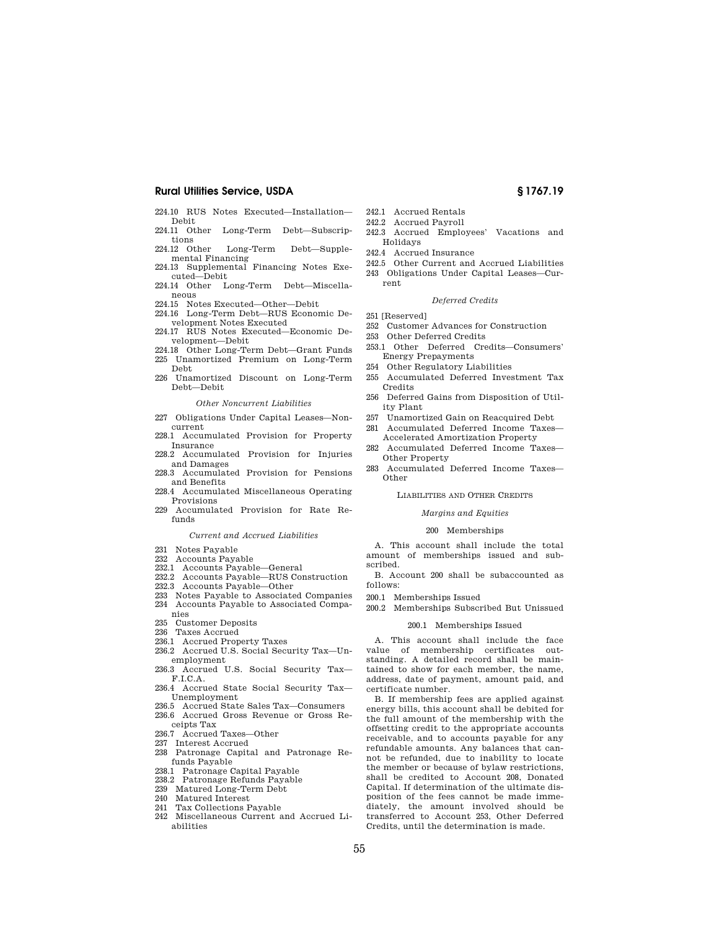- 224.10 RUS Notes Executed—Installation— Debit 224.11 Other Long-Term Debt—Subscrip-
- tions 224.12 Other Long-Term Debt—Supple-
- mental Financing 224.13 Supplemental Financing Notes Exe-
- cuted—Debit 224.14 Other Long-Term Debt—Miscella-
- neous
- 224.15 Notes Executed—Other—Debit 224.16 Long-Term Debt—RUS Economic De-
- velopment Notes Executed 224.17 RUS Notes Executed—Economic De-
- velopment—Debit 224.18 Other Long-Term Debt—Grant Funds
- 225 Unamortized Premium on Long-Term Debt
- 226 Unamortized Discount on Long-Term Debt—Debit

# *Other Noncurrent Liabilities*

- 227 Obligations Under Capital Leases—Noncurrent
- 228.1 Accumulated Provision for Property Insurance
- 228.2 Accumulated Provision for Injuries and Damages
- 228.3 Accumulated Provision for Pensions and Benefits
- 228.4 Accumulated Miscellaneous Operating Provisions
- 229 Accumulated Provision for Rate Refunds

### *Current and Accrued Liabilities*

- 231 Notes Payable
- 232 Accounts Payable
- 232.1 Accounts Payable—General
- 232.2 Accounts Payable—RUS Construction
- 232.3 Accounts Payable—Other
- 233 Notes Payable to Associated Companies 234 Accounts Payable to Associated Companies
- 235 Customer Deposits
- 236 Taxes Accrued
- 236.1 Accrued Property Taxes
- 236.2 Accrued U.S. Social Security Tax—Unemployment
- 236.3 Accrued U.S. Social Security Tax— F.I.C.A.
- 236.4 Accrued State Social Security Tax— Unemployment
- 236.5 Accrued State Sales Tax—Consumers
- 236.6 Accrued Gross Revenue or Gross Receipts Tax
- 236.7 Accrued Taxes—Other
- 237 Interest Accrued
- 238 Patronage Capital and Patronage Refunds Payable
- 238.1 Patronage Capital Payable
- 238.2 Patronage Refunds Payable
- 239 Matured Long-Term Debt
- 240 Matured Interest
- 241 Tax Collections Payable
- 242 Miscellaneous Current and Accrued Liabilities
- 242.1 Accrued Rentals
- 242.2 Accrued Payroll
- 242.3 Accrued Employees' Vacations and Holidays
- 242.4 Accrued Insurance
- 242.5 Other Current and Accrued Liabilities
- 243 Obligations Under Capital Leases—Current

### *Deferred Credits*

251 [Reserved]

- 252 Customer Advances for Construction
- 253 Other Deferred Credits
- 253.1 Other Deferred Credits—Consumers'
- Energy Prepayments
- 254 Other Regulatory Liabilities
- 255 Accumulated Deferred Investment Tax Credits
- 256 Deferred Gains from Disposition of Utility Plant
- 257 Unamortized Gain on Reacquired Debt
- 281 Accumulated Deferred Income Taxes— Accelerated Amortization Property
- 282 Accumulated Deferred Income Taxes— Other Property
- 283 Accumulated Deferred Income Taxes— Other

LIABILITIES AND OTHER CREDITS

### *Margins and Equities*

### 200 Memberships

A. This account shall include the total amount of memberships issued and subscribed.

B. Account 200 shall be subaccounted as follows:

- 200.1 Memberships Issued
- 200.2 Memberships Subscribed But Unissued

# 200.1 Memberships Issued

A. This account shall include the face value of membership certificates outstanding. A detailed record shall be maintained to show for each member, the name, address, date of payment, amount paid, and certificate number.

B. If membership fees are applied against energy bills, this account shall be debited for the full amount of the membership with the offsetting credit to the appropriate accounts receivable, and to accounts payable for any refundable amounts. Any balances that cannot be refunded, due to inability to locate the member or because of bylaw restrictions, shall be credited to Account 208, Donated Capital. If determination of the ultimate disposition of the fees cannot be made immediately, the amount involved should be transferred to Account 253, Other Deferred Credits, until the determination is made.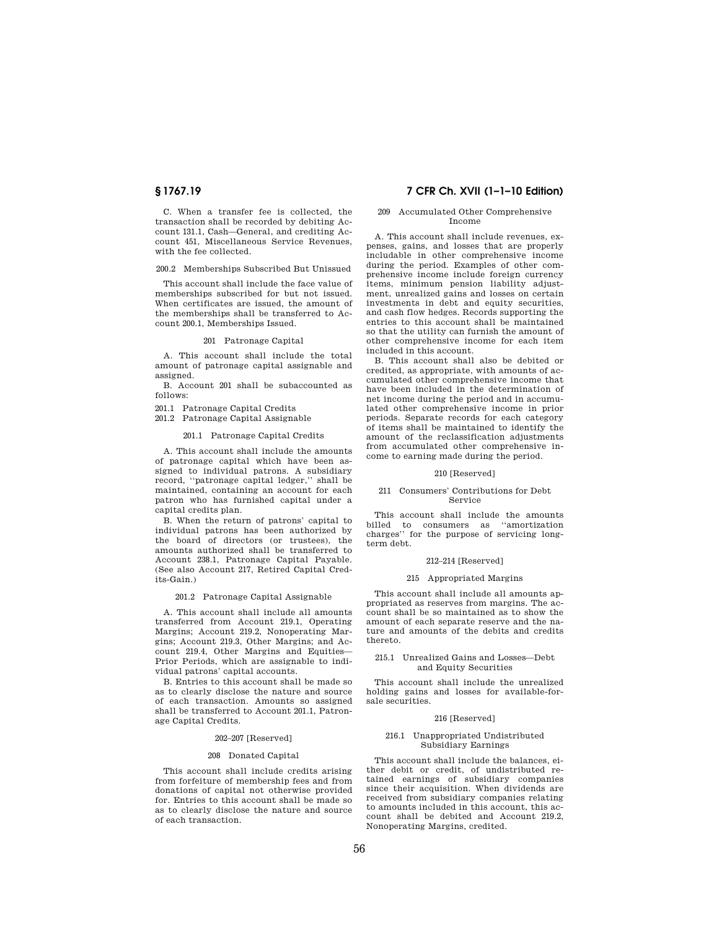C. When a transfer fee is collected, the transaction shall be recorded by debiting Account 131.1, Cash—General, and crediting Account 451, Miscellaneous Service Revenues, with the fee collected.

200.2 Memberships Subscribed But Unissued

This account shall include the face value of memberships subscribed for but not issued. When certificates are issued, the amount of the memberships shall be transferred to Account 200.1, Memberships Issued.

# 201 Patronage Capital

A. This account shall include the total amount of patronage capital assignable and assigned.

B. Account 201 shall be subaccounted as follows:

201.1 Patronage Capital Credits

201.2 Patronage Capital Assignable

### 201.1 Patronage Capital Credits

A. This account shall include the amounts of patronage capital which have been assigned to individual patrons. A subsidiary record, ''patronage capital ledger,'' shall be maintained, containing an account for each patron who has furnished capital under a capital credits plan.

B. When the return of patrons' capital to individual patrons has been authorized by the board of directors (or trustees), the amounts authorized shall be transferred to Account 238.1, Patronage Capital Payable. (See also Account 217, Retired Capital Credits-Gain.)

### 201.2 Patronage Capital Assignable

A. This account shall include all amounts transferred from Account 219.1, Operating Margins; Account 219.2, Nonoperating Margins; Account 219.3, Other Margins; and Account 219.4, Other Margins and Equities— Prior Periods, which are assignable to individual patrons' capital accounts.

B. Entries to this account shall be made so as to clearly disclose the nature and source of each transaction. Amounts so assigned shall be transferred to Account 201.1, Patronage Capital Credits.

### 202–207 [Reserved]

### 208 Donated Capital

This account shall include credits arising from forfeiture of membership fees and from donations of capital not otherwise provided for. Entries to this account shall be made so as to clearly disclose the nature and source of each transaction.

# **§ 1767.19 7 CFR Ch. XVII (1–1–10 Edition)**

### 209 Accumulated Other Comprehensive Income

A. This account shall include revenues, expenses, gains, and losses that are properly includable in other comprehensive income during the period. Examples of other comprehensive income include foreign currency items, minimum pension liability adjustment, unrealized gains and losses on certain investments in debt and equity securities, and cash flow hedges. Records supporting the entries to this account shall be maintained so that the utility can furnish the amount of other comprehensive income for each item included in this account.

B. This account shall also be debited or credited, as appropriate, with amounts of accumulated other comprehensive income that have been included in the determination of net income during the period and in accumulated other comprehensive income in prior periods. Separate records for each category of items shall be maintained to identify the amount of the reclassification adjustments from accumulated other comprehensive income to earning made during the period.

### 210 [Reserved]

### 211 Consumers' Contributions for Debt Service

This account shall include the amounts billed to consumers as ''amortization charges'' for the purpose of servicing longterm debt.

### 212–214 [Reserved]

### 215 Appropriated Margins

This account shall include all amounts appropriated as reserves from margins. The account shall be so maintained as to show the amount of each separate reserve and the nature and amounts of the debits and credits thereto.

### 215.1 Unrealized Gains and Losses—Debt and Equity Securities

This account shall include the unrealized holding gains and losses for available-forsale securities.

### 216 [Reserved]

### 216.1 Unappropriated Undistributed Subsidiary Earnings

This account shall include the balances, either debit or credit, of undistributed retained earnings of subsidiary companies since their acquisition. When dividends are received from subsidiary companies relating to amounts included in this account, this account shall be debited and Account 219.2, Nonoperating Margins, credited.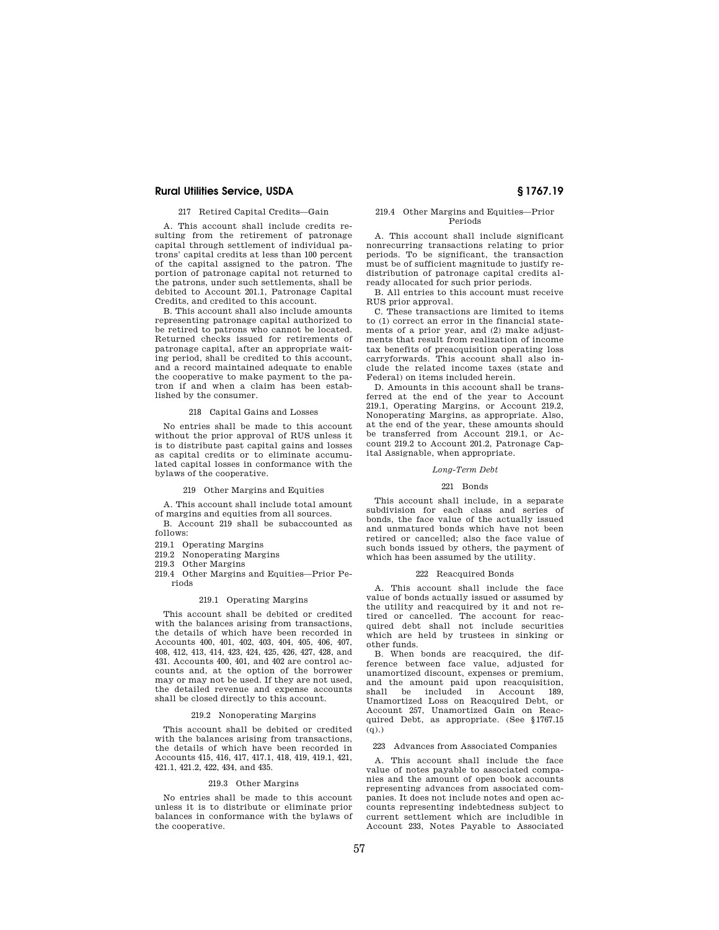## 217 Retired Capital Credits—Gain

A. This account shall include credits resulting from the retirement of patronage capital through settlement of individual patrons' capital credits at less than 100 percent of the capital assigned to the patron. The portion of patronage capital not returned to the patrons, under such settlements, shall be debited to Account 201.1, Patronage Capital Credits, and credited to this account.

B. This account shall also include amounts representing patronage capital authorized to be retired to patrons who cannot be located. Returned checks issued for retirements of patronage capital, after an appropriate waiting period, shall be credited to this account, and a record maintained adequate to enable the cooperative to make payment to the patron if and when a claim has been established by the consumer.

# 218 Capital Gains and Losses

No entries shall be made to this account without the prior approval of RUS unless it is to distribute past capital gains and losses as capital credits or to eliminate accumulated capital losses in conformance with the bylaws of the cooperative.

### 219 Other Margins and Equities

A. This account shall include total amount of margins and equities from all sources.

B. Account 219 shall be subaccounted as follows:

- 219.1 Operating Margins
- 219.2 Nonoperating Margins
- 219.3 Other Margins
- 219.4 Other Margins and Equities—Prior Periods

### 219.1 Operating Margins

This account shall be debited or credited with the balances arising from transactions, the details of which have been recorded in Accounts 400, 401, 402, 403, 404, 405, 406, 407, 408, 412, 413, 414, 423, 424, 425, 426, 427, 428, and 431. Accounts 400, 401, and 402 are control accounts and, at the option of the borrower may or may not be used. If they are not used, the detailed revenue and expense accounts shall be closed directly to this account.

### 219.2 Nonoperating Margins

This account shall be debited or credited with the balances arising from transactions, the details of which have been recorded in Accounts 415, 416, 417, 417.1, 418, 419, 419.1, 421, 421.1, 421.2, 422, 434, and 435.

### 219.3 Other Margins

No entries shall be made to this account unless it is to distribute or eliminate prior balances in conformance with the bylaws of the cooperative.

### 219.4 Other Margins and Equities—Prior Periods

A. This account shall include significant nonrecurring transactions relating to prior periods. To be significant, the transaction must be of sufficient magnitude to justify redistribution of patronage capital credits already allocated for such prior periods.

B. All entries to this account must receive RUS prior approval.

C. These transactions are limited to items to (1) correct an error in the financial statements of a prior year, and (2) make adjustments that result from realization of income tax benefits of preacquisition operating loss carryforwards. This account shall also include the related income taxes (state and Federal) on items included herein.

D. Amounts in this account shall be transferred at the end of the year to Account 219.1, Operating Margins, or Account 219.2, Nonoperating Margins, as appropriate. Also, at the end of the year, these amounts should be transferred from Account 219.1, or Account 219.2 to Account 201.2, Patronage Capital Assignable, when appropriate.

### *Long-Term Debt*

### 221 Bonds

This account shall include, in a separate subdivision for each class and series of bonds, the face value of the actually issued and unmatured bonds which have not been retired or cancelled; also the face value of such bonds issued by others, the payment of which has been assumed by the utility.

# 222 Reacquired Bonds

A. This account shall include the face value of bonds actually issued or assumed by the utility and reacquired by it and not retired or cancelled. The account for reacquired debt shall not include securities which are held by trustees in sinking or other funds.

B. When bonds are reacquired, the difference between face value, adjusted for unamortized discount, expenses or premium, and the amount paid upon reacquisition, shall be included in Account 189, Unamortized Loss on Reacquired Debt, or Account 257, Unamortized Gain on Reacquired Debt, as appropriate. (See §1767.15  $(q)$ .)

### 223 Advances from Associated Companies

A. This account shall include the face value of notes payable to associated companies and the amount of open book accounts representing advances from associated companies. It does not include notes and open accounts representing indebtedness subject to current settlement which are includible in Account 233, Notes Payable to Associated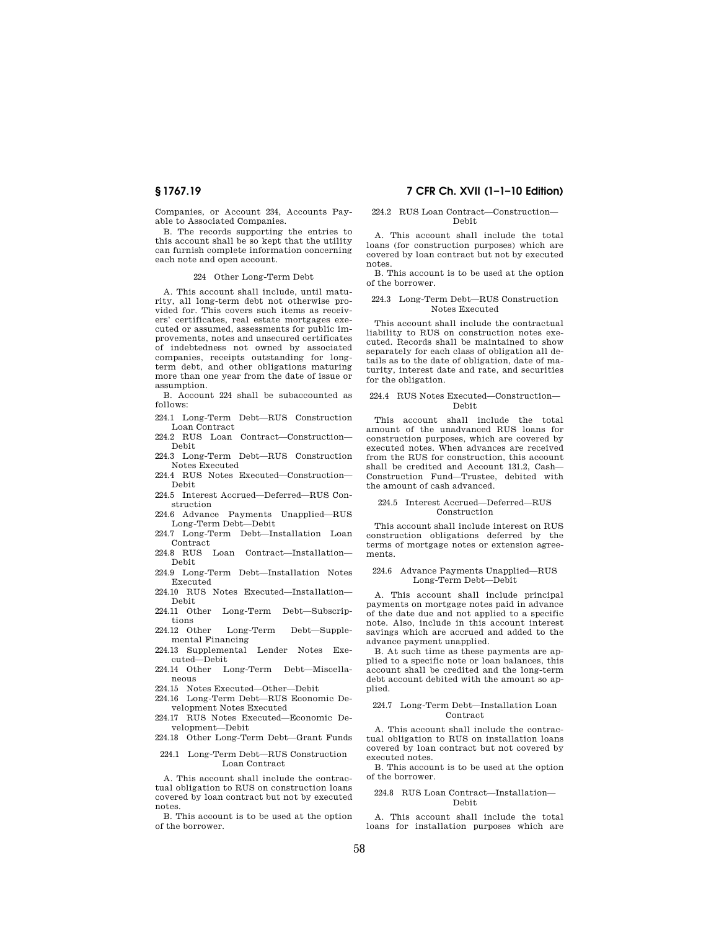Companies, or Account 234, Accounts Payable to Associated Companies.

B. The records supporting the entries to this account shall be so kept that the utility can furnish complete information concerning each note and open account.

### 224 Other Long-Term Debt

A. This account shall include, until maturity, all long-term debt not otherwise provided for. This covers such items as receivers' certificates, real estate mortgages executed or assumed, assessments for public improvements, notes and unsecured certificates of indebtedness not owned by associated companies, receipts outstanding for longterm debt, and other obligations maturing more than one year from the date of issue or assumption.

B. Account 224 shall be subaccounted as follows:

224.1 Long-Term Debt—RUS Construction Loan Contract

224.2 RUS Loan Contract—Construction— Debit

224.3 Long-Term Debt—RUS Construction Notes Executed

224.4 RUS Notes Executed—Construction— Debit

224.5 Interest Accrued—Deferred—RUS Construction

224.6 Advance Payments Unapplied—RUS Long-Term Debt—Debit

224.7 Long-Term Debt—Installation Loan Contract

224.8 RUS Loan Contract—Installation— Debit

224.9 Long-Term Debt—Installation Notes Executed

224.10 RUS Notes Executed—Installation— Debit

224.11 Other Long-Term Debt—Subscriptions

224.12 Other Long-Term Debt—Supplemental Financing

224.13 Supplemental Lender Notes Executed—Debit

224.14 Other Long-Term Debt—Miscellaneous

224.15 Notes Executed—Other—Debit

224.16 Long-Term Debt—RUS Economic Development Notes Executed

224.17 RUS Notes Executed—Economic Development—Debit

224.18 Other Long-Term Debt—Grant Funds

### 224.1 Long-Term Debt—RUS Construction Loan Contract

A. This account shall include the contractual obligation to RUS on construction loans covered by loan contract but not by executed notes.

B. This account is to be used at the option of the borrower.

# **§ 1767.19 7 CFR Ch. XVII (1–1–10 Edition)**

### 224.2 RUS Loan Contract—Construction— Debit

A. This account shall include the total loans (for construction purposes) which are covered by loan contract but not by executed notes.

B. This account is to be used at the option of the borrower.

### 224.3 Long-Term Debt—RUS Construction Notes Executed

This account shall include the contractual liability to RUS on construction notes executed. Records shall be maintained to show separately for each class of obligation all details as to the date of obligation, date of maturity, interest date and rate, and securities for the obligation.

### 224.4 RUS Notes Executed—Construction— Debit

This account shall include the total amount of the unadvanced RUS loans for construction purposes, which are covered by executed notes. When advances are received from the RUS for construction, this account shall be credited and Account 131.2, Cash— Construction Fund—Trustee, debited with the amount of cash advanced.

## 224.5 Interest Accrued—Deferred—RUS Construction

This account shall include interest on RUS construction obligations deferred by the terms of mortgage notes or extension agreements.

### 224.6 Advance Payments Unapplied—RUS Long-Term Debt—Debit

A. This account shall include principal payments on mortgage notes paid in advance of the date due and not applied to a specific note. Also, include in this account interest savings which are accrued and added to the advance payment unapplied.

B. At such time as these payments are applied to a specific note or loan balances, this account shall be credited and the long-term debt account debited with the amount so applied.

### 224.7 Long-Term Debt—Installation Loan Contract

A. This account shall include the contractual obligation to RUS on installation loans covered by loan contract but not covered by executed notes.

B. This account is to be used at the option of the borrower.

### 224.8 RUS Loan Contract—Installation— Debit

A. This account shall include the total loans for installation purposes which are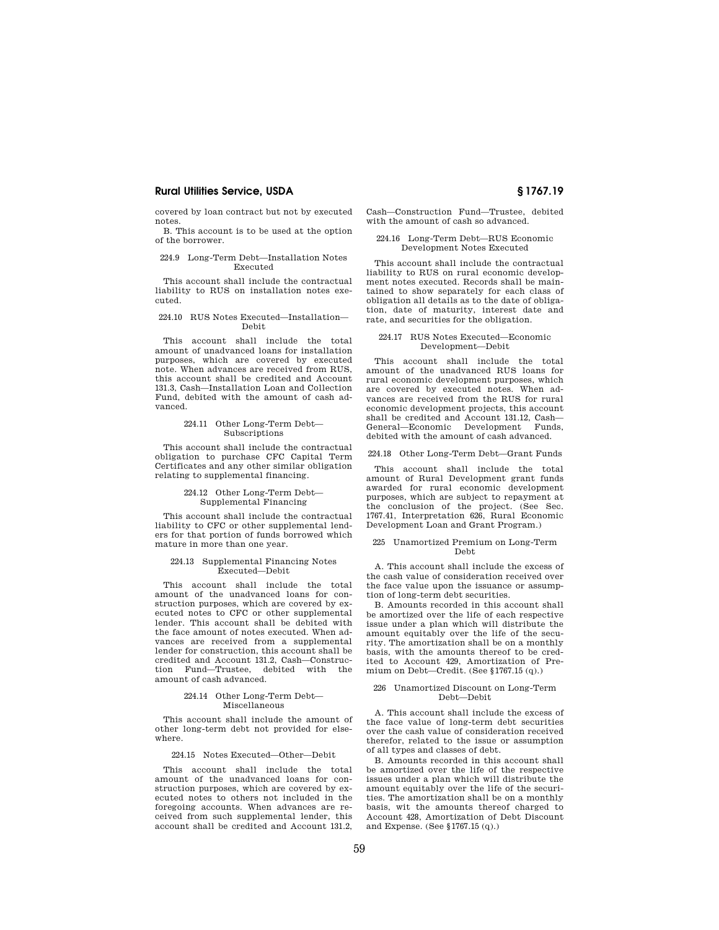covered by loan contract but not by executed notes.

B. This account is to be used at the option of the borrower.

## 224.9 Long-Term Debt—Installation Notes Executed

This account shall include the contractual liability to RUS on installation notes executed.

### 224.10 RUS Notes Executed—Installation— Debit

This account shall include the total amount of unadvanced loans for installation purposes, which are covered by executed note. When advances are received from RUS, this account shall be credited and Account 131.3, Cash—Installation Loan and Collection Fund, debited with the amount of cash advanced.

### 224.11 Other Long-Term Debt— Subscriptions

This account shall include the contractual obligation to purchase CFC Capital Term Certificates and any other similar obligation relating to supplemental financing.

### 224.12 Other Long-Term Debt— Supplemental Financing

This account shall include the contractual liability to CFC or other supplemental lenders for that portion of funds borrowed which mature in more than one year.

# 224.13 Supplemental Financing Notes Executed—Debit

This account shall include the total amount of the unadvanced loans for construction purposes, which are covered by executed notes to CFC or other supplemental lender. This account shall be debited with the face amount of notes executed. When advances are received from a supplemental lender for construction, this account shall be credited and Account 131.2, Cash—Construction Fund—Trustee, debited with the amount of cash advanced.

# 224.14 Other Long-Term Debt-Miscellaneous

This account shall include the amount of other long-term debt not provided for elsewhere.

### 224.15 Notes Executed—Other—Debit

This account shall include the total amount of the unadvanced loans for construction purposes, which are covered by executed notes to others not included in the foregoing accounts. When advances are received from such supplemental lender, this account shall be credited and Account 131.2,

Cash—Construction Fund—Trustee, debited with the amount of cash so advanced.

### 224.16 Long-Term Debt—RUS Economic Development Notes Executed

This account shall include the contractual liability to RUS on rural economic development notes executed. Records shall be maintained to show separately for each class of obligation all details as to the date of obligation, date of maturity, interest date and rate, and securities for the obligation.

### 224.17 RUS Notes Executed—Economic Development—Debit

This account shall include the total amount of the unadvanced RUS loans for rural economic development purposes, which are covered by executed notes. When advances are received from the RUS for rural economic development projects, this account shall be credited and Account 131.12, Cash— General—Economic Development Funds, debited with the amount of cash advanced.

### 224.18 Other Long-Term Debt—Grant Funds

This account shall include the total amount of Rural Development grant funds awarded for rural economic development purposes, which are subject to repayment at the conclusion of the project. (See Sec. 1767.41, Interpretation 626, Rural Economic Development Loan and Grant Program.)

## 225 Unamortized Premium on Long-Term Debt

A. This account shall include the excess of the cash value of consideration received over the face value upon the issuance or assumption of long-term debt securities.

B. Amounts recorded in this account shall be amortized over the life of each respective issue under a plan which will distribute the amount equitably over the life of the security. The amortization shall be on a monthly basis, with the amounts thereof to be credited to Account 429, Amortization of Premium on Debt—Credit. (See §1767.15 (q).)

### 226 Unamortized Discount on Long-Term Debt—Debit

A. This account shall include the excess of the face value of long-term debt securities over the cash value of consideration received therefor, related to the issue or assumption of all types and classes of debt.

B. Amounts recorded in this account shall be amortized over the life of the respective issues under a plan which will distribute the amount equitably over the life of the securities. The amortization shall be on a monthly basis, wit the amounts thereof charged to Account 428, Amortization of Debt Discount and Expense. (See §1767.15 (q).)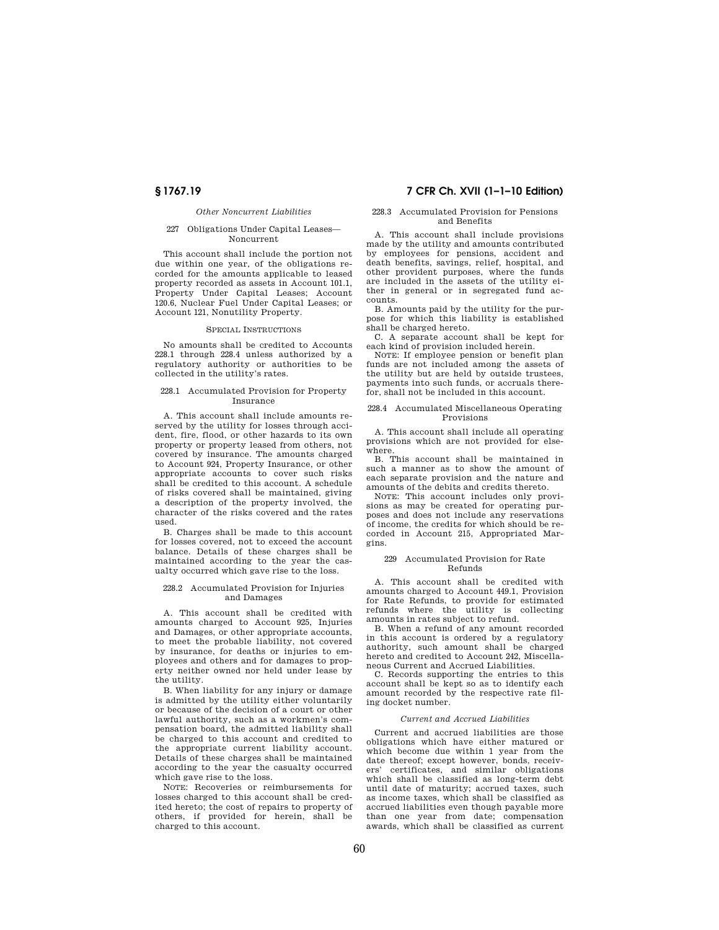# *Other Noncurrent Liabilities*

### 227 Obligations Under Capital Leases— Noncurrent

This account shall include the portion not due within one year, of the obligations recorded for the amounts applicable to leased property recorded as assets in Account 101.1, Property Under Capital Leases; Account 120.6, Nuclear Fuel Under Capital Leases; or Account 121, Nonutility Property.

### SPECIAL INSTRUCTIONS

No amounts shall be credited to Accounts 228.1 through 228.4 unless authorized by a regulatory authority or authorities to be collected in the utility's rates.

### 228.1 Accumulated Provision for Property Insurance

A. This account shall include amounts reserved by the utility for losses through accident, fire, flood, or other hazards to its own property or property leased from others, not covered by insurance. The amounts charged to Account 924, Property Insurance, or other appropriate accounts to cover such risks shall be credited to this account. A schedule of risks covered shall be maintained, giving a description of the property involved, the character of the risks covered and the rates used.

B. Charges shall be made to this account for losses covered, not to exceed the account balance. Details of these charges shall be maintained according to the year the casualty occurred which gave rise to the loss.

### 228.2 Accumulated Provision for Injuries and Damages

A. This account shall be credited with amounts charged to Account 925, Injuries and Damages, or other appropriate accounts, to meet the probable liability, not covered by insurance, for deaths or injuries to employees and others and for damages to property neither owned nor held under lease by the utility.

B. When liability for any injury or damage is admitted by the utility either voluntarily or because of the decision of a court or other lawful authority, such as a workmen's compensation board, the admitted liability shall be charged to this account and credited to the appropriate current liability account. Details of these charges shall be maintained according to the year the casualty occurred which gave rise to the loss.

NOTE: Recoveries or reimbursements for losses charged to this account shall be credited hereto; the cost of repairs to property of others, if provided for herein, shall be charged to this account.

# **§ 1767.19 7 CFR Ch. XVII (1–1–10 Edition)**

### 228.3 Accumulated Provision for Pensions and Benefits

A. This account shall include provisions made by the utility and amounts contributed by employees for pensions, accident and death benefits, savings, relief, hospital, and other provident purposes, where the funds are included in the assets of the utility either in general or in segregated fund accounts.

B. Amounts paid by the utility for the purpose for which this liability is established shall be charged hereto.

C. A separate account shall be kept for each kind of provision included herein.

NOTE: If employee pension or benefit plan funds are not included among the assets of the utility but are held by outside trustees, payments into such funds, or accruals therefor, shall not be included in this account.

### 228.4 Accumulated Miscellaneous Operating Provisions

A. This account shall include all operating provisions which are not provided for elsewhere.

B. This account shall be maintained in such a manner as to show the amount of each separate provision and the nature and amounts of the debits and credits thereto.

NOTE: This account includes only provisions as may be created for operating purposes and does not include any reservations of income, the credits for which should be recorded in Account 215, Appropriated Margins.

### 229 Accumulated Provision for Rate Refunds

A. This account shall be credited with amounts charged to Account 449.1, Provision for Rate Refunds, to provide for estimated refunds where the utility is collecting amounts in rates subject to refund.

B. When a refund of any amount recorded in this account is ordered by a regulatory authority, such amount shall be charged hereto and credited to Account 242, Miscellaneous Current and Accrued Liabilities.

C. Records supporting the entries to this account shall be kept so as to identify each amount recorded by the respective rate filing docket number.

### *Current and Accrued Liabilities*

Current and accrued liabilities are those obligations which have either matured or which become due within 1 year from the date thereof; except however, bonds, receivers' certificates, and similar obligations which shall be classified as long-term debt until date of maturity; accrued taxes, such as income taxes, which shall be classified as accrued liabilities even though payable more than one year from date; compensation awards, which shall be classified as current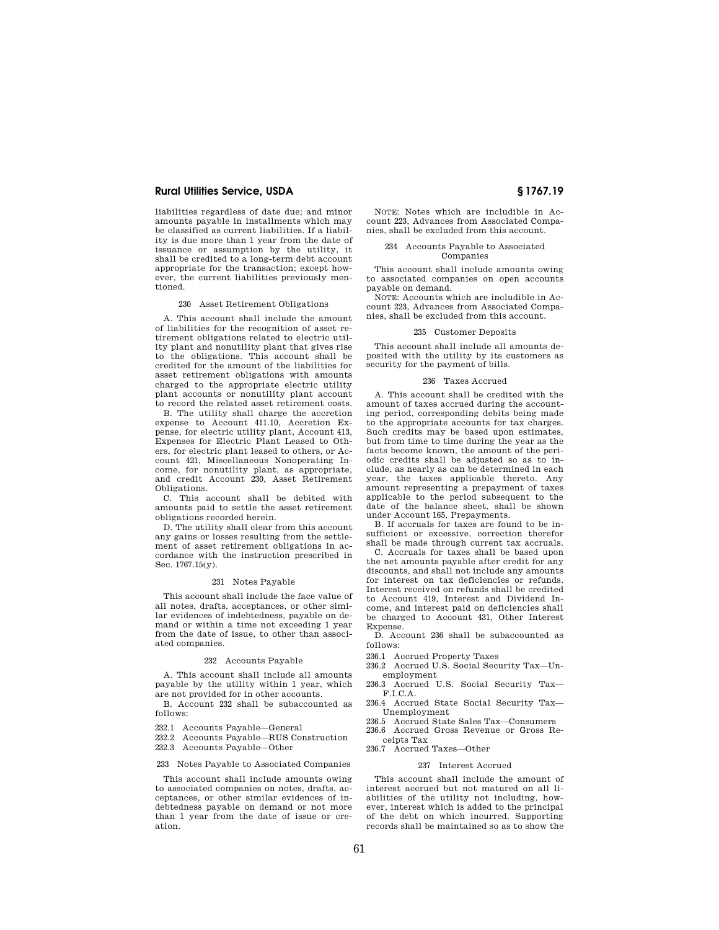liabilities regardless of date due; and minor amounts payable in installments which may be classified as current liabilities. If a liability is due more than 1 year from the date of issuance or assumption by the utility, it shall be credited to a long-term debt account appropriate for the transaction; except however, the current liabilities previously mentioned.

### 230 Asset Retirement Obligations

A. This account shall include the amount of liabilities for the recognition of asset retirement obligations related to electric utility plant and nonutility plant that gives rise to the obligations. This account shall be credited for the amount of the liabilities for asset retirement obligations with amounts charged to the appropriate electric utility plant accounts or nonutility plant account to record the related asset retirement costs.

B. The utility shall charge the accretion expense to Account 411.10, Accretion Expense, for electric utility plant, Account 413, Expenses for Electric Plant Leased to Others, for electric plant leased to others, or Account 421, Miscellaneous Nonoperating Income, for nonutility plant, as appropriate, and credit Account 230, Asset Retirement Obligations.

C. This account shall be debited with amounts paid to settle the asset retirement obligations recorded herein.

D. The utility shall clear from this account any gains or losses resulting from the settlement of asset retirement obligations in accordance with the instruction prescribed in Sec. 1767.15(y).

### 231 Notes Payable

This account shall include the face value of all notes, drafts, acceptances, or other similar evidences of indebtedness, payable on demand or within a time not exceeding 1 year from the date of issue, to other than associated companies.

### 232 Accounts Payable

A. This account shall include all amounts payable by the utility within 1 year, which are not provided for in other accounts.

B. Account 232 shall be subaccounted as follows:

- 232.1 Accounts Payable—General
- 232.2 Accounts Payable—RUS Construction
- 232.3 Accounts Payable—Other

233 Notes Payable to Associated Companies

This account shall include amounts owing to associated companies on notes, drafts, acceptances, or other similar evidences of indebtedness payable on demand or not more than 1 year from the date of issue or creation.

NOTE: Notes which are includible in Account 223, Advances from Associated Companies, shall be excluded from this account.

### 234 Accounts Payable to Associated Companies

This account shall include amounts owing to associated companies on open accounts payable on demand.

NOTE: Accounts which are includible in Account 223, Advances from Associated Companies, shall be excluded from this account.

### 235 Customer Deposits

This account shall include all amounts deposited with the utility by its customers as security for the payment of bills.

### 236 Taxes Accrued

A. This account shall be credited with the amount of taxes accrued during the accounting period, corresponding debits being made to the appropriate accounts for tax charges. Such credits may be based upon estimates, but from time to time during the year as the facts become known, the amount of the periodic credits shall be adjusted so as to include, as nearly as can be determined in each year, the taxes applicable thereto. Any amount representing a prepayment of taxes applicable to the period subsequent to the date of the balance sheet, shall be shown under Account 165, Prepayments.

B. If accruals for taxes are found to be insufficient or excessive, correction therefor shall be made through current tax accruals.

C. Accruals for taxes shall be based upon the net amounts payable after credit for any discounts, and shall not include any amounts for interest on tax deficiencies or refunds. Interest received on refunds shall be credited to Account 419, Interest and Dividend Income, and interest paid on deficiencies shall be charged to Account 431, Other Interest Expense.

D. Account 236 shall be subaccounted as follows:

236.1 Accrued Property Taxes

- 236.2 Accrued U.S. Social Security Tax—Unemployment
- 236.3 Accrued U.S. Social Security Tax— F.I.C.A.
- 236.4 Accrued State Social Security Tax— Unemployment
- 236.5 Accrued State Sales Tax—Consumers
- 236.6 Accrued Gross Revenue or Gross Receipts Tax
- 236.7 Accrued Taxes—Other

### 237 Interest Accrued

This account shall include the amount of interest accrued but not matured on all liabilities of the utility not including, however, interest which is added to the principal of the debt on which incurred. Supporting records shall be maintained so as to show the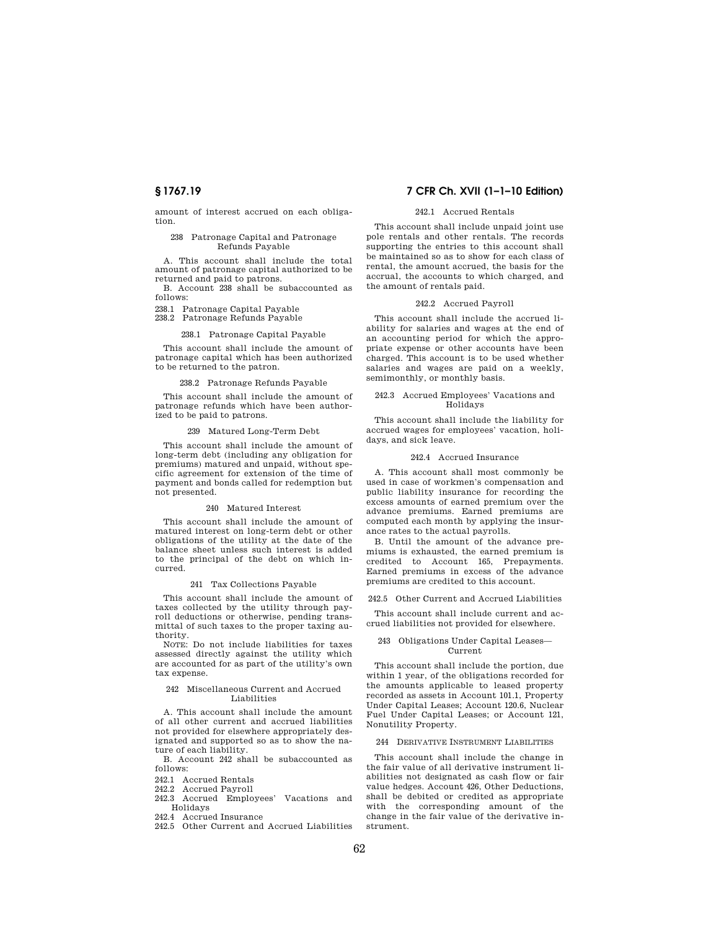amount of interest accrued on each obligation.

### 238 Patronage Capital and Patronage Refunds Payable

A. This account shall include the total amount of patronage capital authorized to be returned and paid to patrons.

B. Account 238 shall be subaccounted as follows:

238.1 Patronage Capital Payable

238.2 Patronage Refunds Payable

### 238.1 Patronage Capital Payable

This account shall include the amount of patronage capital which has been authorized to be returned to the patron.

### 238.2 Patronage Refunds Payable

This account shall include the amount of patronage refunds which have been authorized to be paid to patrons.

# 239 Matured Long-Term Debt

This account shall include the amount of long-term debt (including any obligation for premiums) matured and unpaid, without specific agreement for extension of the time of payment and bonds called for redemption but not presented.

### 240 Matured Interest

This account shall include the amount of matured interest on long-term debt or other obligations of the utility at the date of the balance sheet unless such interest is added to the principal of the debt on which incurred.

### 241 Tax Collections Payable

This account shall include the amount of taxes collected by the utility through payroll deductions or otherwise, pending transmittal of such taxes to the proper taxing authority.

NOTE: Do not include liabilities for taxes assessed directly against the utility which are accounted for as part of the utility's own tax expense.

# 242 Miscellaneous Current and Accrued Liabilities

A. This account shall include the amount of all other current and accrued liabilities not provided for elsewhere appropriately designated and supported so as to show the nature of each liability.

B. Account 242 shall be subaccounted as follows:

- 242.1 Accrued Rentals
- 242.2 Accrued Payroll

242.3 Accrued Employees' Vacations and Holidays

242.4 Accrued Insurance

242.5 Other Current and Accrued Liabilities

# **§ 1767.19 7 CFR Ch. XVII (1–1–10 Edition)**

# 242.1 Accrued Rentals

This account shall include unpaid joint use pole rentals and other rentals. The records supporting the entries to this account shall be maintained so as to show for each class of rental, the amount accrued, the basis for the accrual, the accounts to which charged, and the amount of rentals paid.

### 242.2 Accrued Payroll

This account shall include the accrued liability for salaries and wages at the end of an accounting period for which the appropriate expense or other accounts have been charged. This account is to be used whether salaries and wages are paid on a weekly, semimonthly, or monthly basis.

# 242.3 Accrued Employees' Vacations and Holidays

This account shall include the liability for accrued wages for employees' vacation, holidays, and sick leave.

# 242.4 Accrued Insurance

A. This account shall most commonly be used in case of workmen's compensation and public liability insurance for recording the excess amounts of earned premium over the advance premiums. Earned premiums are computed each month by applying the insurance rates to the actual payrolls.

B. Until the amount of the advance premiums is exhausted, the earned premium is credited to Account 165, Prepayments. Earned premiums in excess of the advance premiums are credited to this account.

# 242.5 Other Current and Accrued Liabilities

This account shall include current and accrued liabilities not provided for elsewhere.

### 243 Obligations Under Capital Leases— Current

This account shall include the portion, due within 1 year, of the obligations recorded for the amounts applicable to leased property recorded as assets in Account 101.1, Property Under Capital Leases; Account 120.6, Nuclear Fuel Under Capital Leases; or Account 121, Nonutility Property.

# 244 DERIVATIVE INSTRUMENT LIABILITIES

This account shall include the change in the fair value of all derivative instrument liabilities not designated as cash flow or fair value hedges. Account 426, Other Deductions, shall be debited or credited as appropriate with the corresponding amount of the change in the fair value of the derivative instrument.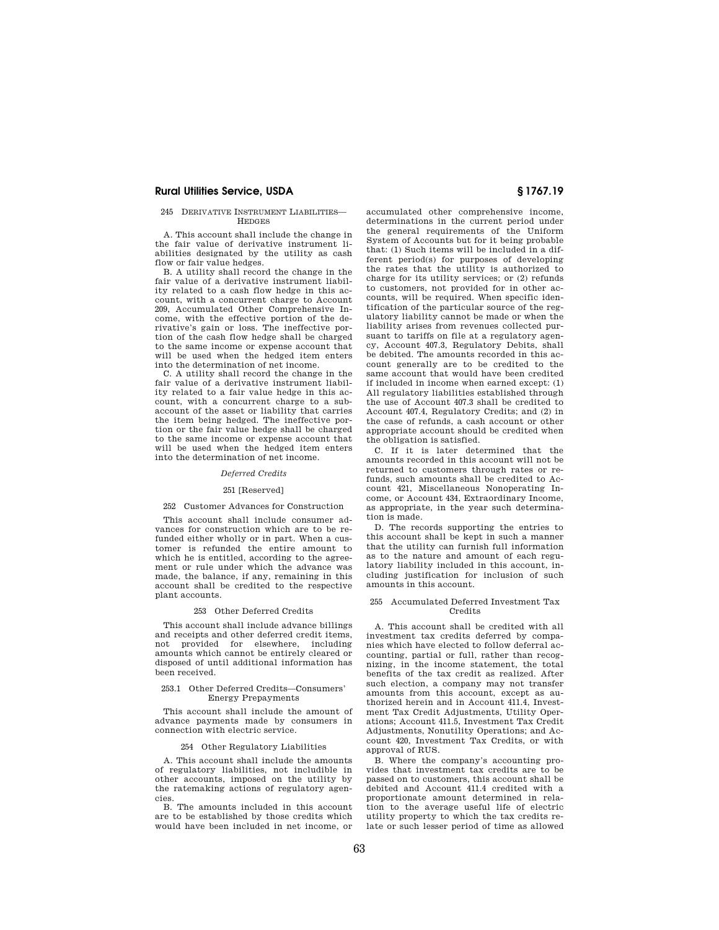### 245 DERIVATIVE INSTRUMENT LIABILITIES— HEDGES

A. This account shall include the change in the fair value of derivative instrument liabilities designated by the utility as cash flow or fair value hedges.

B. A utility shall record the change in the fair value of a derivative instrument liability related to a cash flow hedge in this account, with a concurrent charge to Account 209, Accumulated Other Comprehensive Income, with the effective portion of the derivative's gain or loss. The ineffective portion of the cash flow hedge shall be charged to the same income or expense account that will be used when the hedged item enters into the determination of net income.

C. A utility shall record the change in the fair value of a derivative instrument liability related to a fair value hedge in this account, with a concurrent charge to a subaccount of the asset or liability that carries the item being hedged. The ineffective portion or the fair value hedge shall be charged to the same income or expense account that will be used when the hedged item enters into the determination of net income.

### *Deferred Credits*

### 251 [Reserved]

### 252 Customer Advances for Construction

This account shall include consumer advances for construction which are to be refunded either wholly or in part. When a customer is refunded the entire amount to which he is entitled, according to the agreement or rule under which the advance was made, the balance, if any, remaining in this account shall be credited to the respective plant accounts.

### 253 Other Deferred Credits

This account shall include advance billings and receipts and other deferred credit items, not provided for elsewhere, including amounts which cannot be entirely cleared or disposed of until additional information has been received.

### 253.1 Other Deferred Credits—Consumers' Energy Prepayments

This account shall include the amount of advance payments made by consumers in connection with electric service.

### 254 Other Regulatory Liabilities

A. This account shall include the amounts of regulatory liabilities, not includible in other accounts, imposed on the utility by the ratemaking actions of regulatory agencies.

B. The amounts included in this account are to be established by those credits which would have been included in net income, or accumulated other comprehensive income, determinations in the current period under the general requirements of the Uniform System of Accounts but for it being probable that: (1) Such items will be included in a different period(s) for purposes of developing the rates that the utility is authorized to charge for its utility services; or (2) refunds to customers, not provided for in other accounts, will be required. When specific identification of the particular source of the regulatory liability cannot be made or when the liability arises from revenues collected pursuant to tariffs on file at a regulatory agency, Account 407.3, Regulatory Debits, shall be debited. The amounts recorded in this account generally are to be credited to the same account that would have been credited if included in income when earned except: (1) All regulatory liabilities established through the use of Account 407.3 shall be credited to Account 407.4, Regulatory Credits; and (2) in the case of refunds, a cash account or other appropriate account should be credited when the obligation is satisfied.

C. If it is later determined that the amounts recorded in this account will not be returned to customers through rates or refunds, such amounts shall be credited to Account 421, Miscellaneous Nonoperating Income, or Account 434, Extraordinary Income, as appropriate, in the year such determination is made.

D. The records supporting the entries to this account shall be kept in such a manner that the utility can furnish full information as to the nature and amount of each regulatory liability included in this account, including justification for inclusion of such amounts in this account.

### 255 Accumulated Deferred Investment Tax Credits

A. This account shall be credited with all investment tax credits deferred by companies which have elected to follow deferral accounting, partial or full, rather than recognizing, in the income statement, the total benefits of the tax credit as realized. After such election, a company may not transfer amounts from this account, except as authorized herein and in Account 411.4, Investment Tax Credit Adjustments, Utility Operations; Account 411.5, Investment Tax Credit Adjustments, Nonutility Operations; and Account 420, Investment Tax Credits, or with approval of RUS.

B. Where the company's accounting provides that investment tax credits are to be passed on to customers, this account shall be debited and Account 411.4 credited with a proportionate amount determined in relation to the average useful life of electric utility property to which the tax credits relate or such lesser period of time as allowed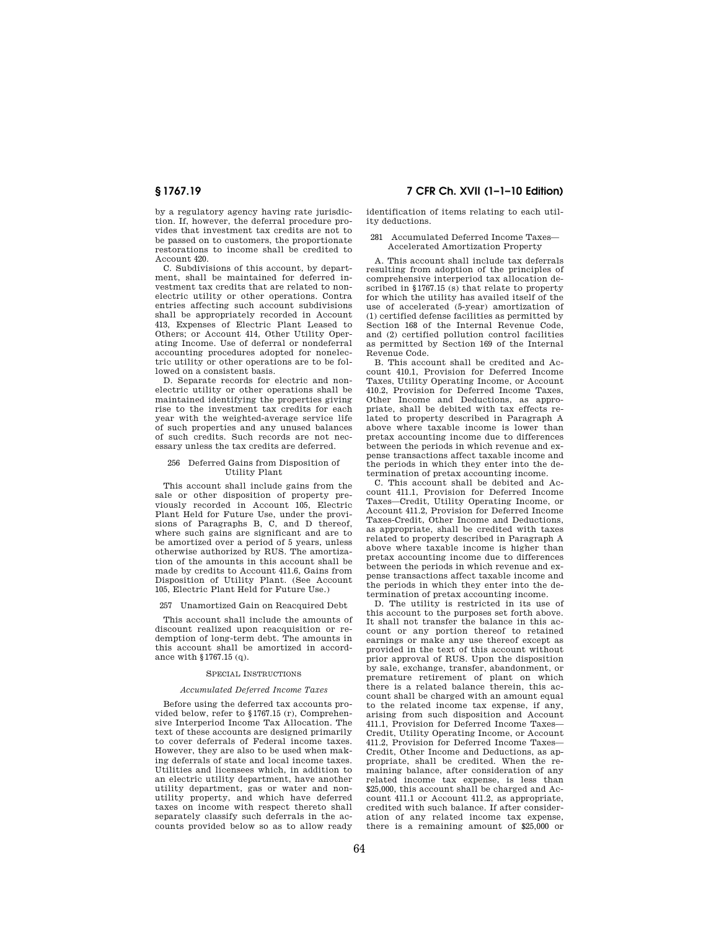by a regulatory agency having rate jurisdiction. If, however, the deferral procedure provides that investment tax credits are not to be passed on to customers, the proportionate restorations to income shall be credited to Account 420.

C. Subdivisions of this account, by department, shall be maintained for deferred investment tax credits that are related to nonelectric utility or other operations. Contra entries affecting such account subdivisions shall be appropriately recorded in Account 413, Expenses of Electric Plant Leased to Others; or Account 414, Other Utility Operating Income. Use of deferral or nondeferral accounting procedures adopted for nonelectric utility or other operations are to be followed on a consistent basis.

D. Separate records for electric and nonelectric utility or other operations shall be maintained identifying the properties giving rise to the investment tax credits for each year with the weighted-average service life of such properties and any unused balances of such credits. Such records are not necessary unless the tax credits are deferred.

### 256 Deferred Gains from Disposition of Utility Plant

This account shall include gains from the sale or other disposition of property previously recorded in Account 105, Electric Plant Held for Future Use, under the provisions of Paragraphs B, C, and D thereof, where such gains are significant and are to be amortized over a period of 5 years, unless otherwise authorized by RUS. The amortization of the amounts in this account shall be made by credits to Account 411.6, Gains from Disposition of Utility Plant. (See Account 105, Electric Plant Held for Future Use.)

# 257 Unamortized Gain on Reacquired Debt.

This account shall include the amounts of discount realized upon reacquisition or redemption of long-term debt. The amounts in this account shall be amortized in accordance with §1767.15 (q).

### SPECIAL INSTRUCTIONS

### *Accumulated Deferred Income Taxes*

Before using the deferred tax accounts provided below, refer to §1767.15 (r), Comprehensive Interperiod Income Tax Allocation. The text of these accounts are designed primarily to cover deferrals of Federal income taxes. However, they are also to be used when making deferrals of state and local income taxes. Utilities and licensees which, in addition to an electric utility department, have another utility department, gas or water and nonutility property, and which have deferred taxes on income with respect thereto shall separately classify such deferrals in the accounts provided below so as to allow ready

# **§ 1767.19 7 CFR Ch. XVII (1–1–10 Edition)**

identification of items relating to each utility deductions.

### 281 Accumulated Deferred Income Taxes— Accelerated Amortization Property

A. This account shall include tax deferrals resulting from adoption of the principles of comprehensive interperiod tax allocation described in §1767.15 (s) that relate to property for which the utility has availed itself of the use of accelerated (5-year) amortization of (1) certified defense facilities as permitted by Section 168 of the Internal Revenue Code, and (2) certified pollution control facilities as permitted by Section 169 of the Internal Revenue Code.

B. This account shall be credited and Account 410.1, Provision for Deferred Income Taxes, Utility Operating Income, or Account 410.2, Provision for Deferred Income Taxes, Other Income and Deductions, as appropriate, shall be debited with tax effects related to property described in Paragraph A above where taxable income is lower than pretax accounting income due to differences between the periods in which revenue and expense transactions affect taxable income and the periods in which they enter into the determination of pretax accounting income.

C. This account shall be debited and Account 411.1, Provision for Deferred Income Taxes—Credit, Utility Operating Income, or Account 411.2, Provision for Deferred Income Taxes-Credit, Other Income and Deductions, as appropriate, shall be credited with taxes related to property described in Paragraph A above where taxable income is higher than pretax accounting income due to differences between the periods in which revenue and expense transactions affect taxable income and the periods in which they enter into the determination of pretax accounting income.

D. The utility is restricted in its use of this account to the purposes set forth above. It shall not transfer the balance in this account or any portion thereof to retained earnings or make any use thereof except as provided in the text of this account without prior approval of RUS. Upon the disposition by sale, exchange, transfer, abandonment, or premature retirement of plant on which there is a related balance therein, this account shall be charged with an amount equal to the related income tax expense, if any, arising from such disposition and Account 411.1, Provision for Deferred Income Taxes— Credit, Utility Operating Income, or Account 411.2, Provision for Deferred Income Taxes— Credit, Other Income and Deductions, as appropriate, shall be credited. When the remaining balance, after consideration of any related income tax expense, is less than \$25,000, this account shall be charged and Account 411.1 or Account 411.2, as appropriate, credited with such balance. If after consideration of any related income tax expense, there is a remaining amount of \$25,000 or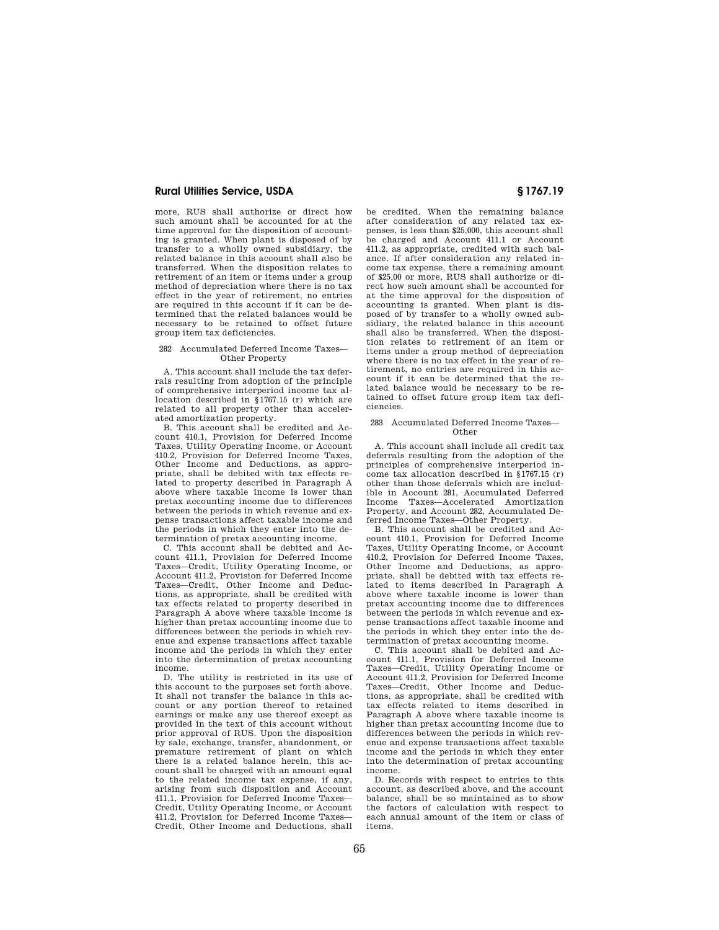more, RUS shall authorize or direct how such amount shall be accounted for at the time approval for the disposition of accounting is granted. When plant is disposed of by transfer to a wholly owned subsidiary, the related balance in this account shall also be transferred. When the disposition relates to retirement of an item or items under a group method of depreciation where there is no tax effect in the year of retirement, no entries are required in this account if it can be determined that the related balances would be necessary to be retained to offset future group item tax deficiencies.

### 282 Accumulated Deferred Income Taxes— Other Property

A. This account shall include the tax deferrals resulting from adoption of the principle of comprehensive interperiod income tax allocation described in §1767.15 (r) which are related to all property other than accelerated amortization property.

B. This account shall be credited and Account 410.1, Provision for Deferred Income Taxes, Utility Operating Income, or Account 410.2, Provision for Deferred Income Taxes, Other Income and Deductions, as appropriate, shall be debited with tax effects related to property described in Paragraph A above where taxable income is lower than pretax accounting income due to differences between the periods in which revenue and expense transactions affect taxable income and the periods in which they enter into the determination of pretax accounting income.

C. This account shall be debited and Account 411.1, Provision for Deferred Income Taxes—Credit, Utility Operating Income, or Account 411.2, Provision for Deferred Income Taxes—Credit, Other Income and Deductions, as appropriate, shall be credited with tax effects related to property described in Paragraph A above where taxable income is higher than pretax accounting income due to differences between the periods in which revenue and expense transactions affect taxable income and the periods in which they enter into the determination of pretax accounting income.

D. The utility is restricted in its use of this account to the purposes set forth above. It shall not transfer the balance in this account or any portion thereof to retained earnings or make any use thereof except as provided in the text of this account without prior approval of RUS. Upon the disposition by sale, exchange, transfer, abandonment, or premature retirement of plant on which there is a related balance herein, this account shall be charged with an amount equal to the related income tax expense, if any, arising from such disposition and Account 411.1, Provision for Deferred Income Taxes— Credit, Utility Operating Income, or Account 411.2, Provision for Deferred Income Taxes— Credit, Other Income and Deductions, shall

be credited. When the remaining balance after consideration of any related tax expenses, is less than \$25,000, this account shall be charged and Account 411.1 or Account 411.2, as appropriate, credited with such balance. If after consideration any related income tax expense, there a remaining amount of \$25,00 or more, RUS shall authorize or direct how such amount shall be accounted for at the time approval for the disposition of accounting is granted. When plant is disposed of by transfer to a wholly owned subsidiary, the related balance in this account shall also be transferred. When the disposition relates to retirement of an item or items under a group method of depreciation where there is no tax effect in the year of retirement, no entries are required in this account if it can be determined that the related balance would be necessary to be retained to offset future group item tax deficiencies.

### 283 Accumulated Deferred Income Taxes— Other

A. This account shall include all credit tax deferrals resulting from the adoption of the principles of comprehensive interperiod income tax allocation described in §1767.15 (r) other than those deferrals which are includible in Account 281, Accumulated Deferred Income Taxes—Accelerated Amortization Property, and Account 282, Accumulated Deferred Income Taxes—Other Property.

B. This account shall be credited and Account 410.1, Provision for Deferred Income Taxes, Utility Operating Income, or Account 410.2, Provision for Deferred Income Taxes, Other Income and Deductions, as appropriate, shall be debited with tax effects related to items described in Paragraph A above where taxable income is lower than pretax accounting income due to differences between the periods in which revenue and expense transactions affect taxable income and the periods in which they enter into the determination of pretax accounting income.

C. This account shall be debited and Account 411.1, Provision for Deferred Income Taxes—Credit, Utility Operating Income or Account 411.2, Provision for Deferred Income Taxes—Credit, Other Income and Deductions, as appropriate, shall be credited with tax effects related to items described in Paragraph A above where taxable income is higher than pretax accounting income due to differences between the periods in which revenue and expense transactions affect taxable income and the periods in which they enter into the determination of pretax accounting income.

D. Records with respect to entries to this account, as described above, and the account balance, shall be so maintained as to show the factors of calculation with respect to each annual amount of the item or class of items.